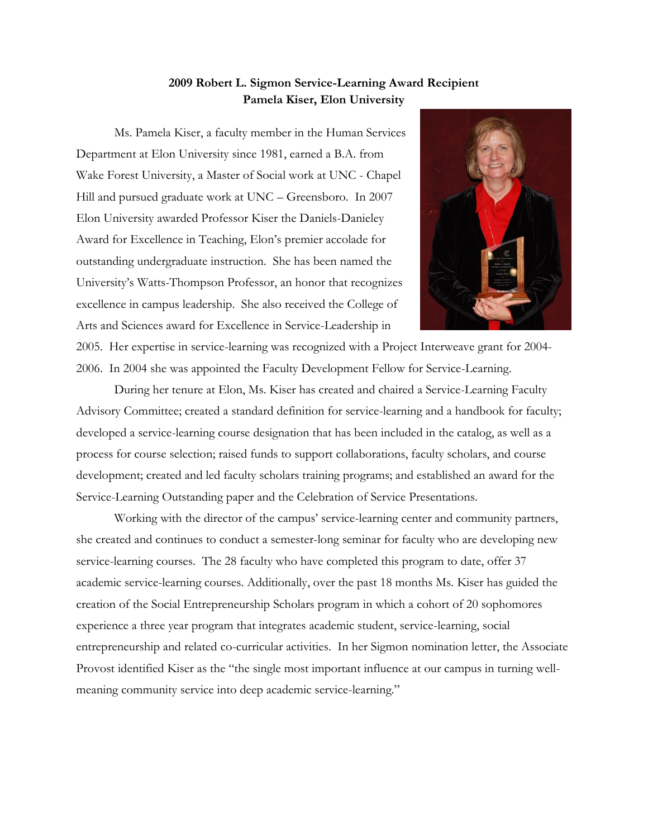## **2009 Robert L. Sigmon Service-Learning Award Recipient Pamela Kiser, Elon University**

Ms. Pamela Kiser, a faculty member in the Human Services Department at Elon University since 1981, earned a B.A. from Wake Forest University, a Master of Social work at UNC - Chapel Hill and pursued graduate work at UNC – Greensboro. In 2007 Elon University awarded Professor Kiser the Daniels-Danieley Award for Excellence in Teaching, Elon's premier accolade for outstanding undergraduate instruction. She has been named the University's Watts-Thompson Professor, an honor that recognizes excellence in campus leadership. She also received the College of Arts and Sciences award for Excellence in Service-Leadership in



2005. Her expertise in service-learning was recognized with a Project Interweave grant for 2004- 2006. In 2004 she was appointed the Faculty Development Fellow for Service-Learning.

During her tenure at Elon, Ms. Kiser has created and chaired a Service-Learning Faculty Advisory Committee; created a standard definition for service-learning and a handbook for faculty; developed a service-learning course designation that has been included in the catalog, as well as a process for course selection; raised funds to support collaborations, faculty scholars, and course development; created and led faculty scholars training programs; and established an award for the Service-Learning Outstanding paper and the Celebration of Service Presentations.

Working with the director of the campus' service-learning center and community partners, she created and continues to conduct a semester-long seminar for faculty who are developing new service-learning courses. The 28 faculty who have completed this program to date, offer 37 academic service-learning courses. Additionally, over the past 18 months Ms. Kiser has guided the creation of the Social Entrepreneurship Scholars program in which a cohort of 20 sophomores experience a three year program that integrates academic student, service-learning, social entrepreneurship and related co-curricular activities. In her Sigmon nomination letter, the Associate Provost identified Kiser as the "the single most important influence at our campus in turning wellmeaning community service into deep academic service-learning."